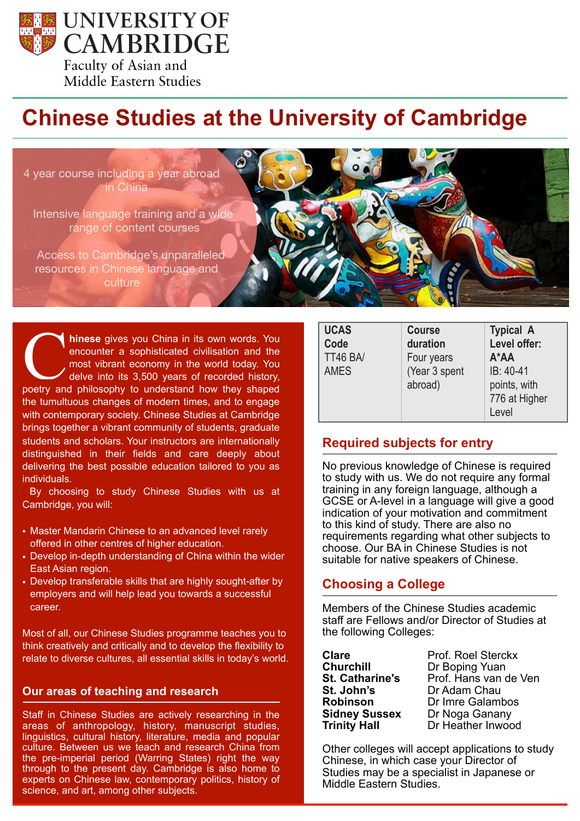

# Middle Eastern Studies

# **Chinese Studies at the University of Cambridge**

4 year course including a year abroad in China

Intensive language training and a wide range of content courses

Access to Cambridge's unparalleled resources in Chinese language and culture

**hinese** gives you China in its own words. You encounter a sophisticated civilisation and the most vibrant economy in the world today. You delve into its 3,500 years of recorded history, hinese gives you China in its own words. You encounter a sophisticated civilisation and the most vibrant economy in the world today. You delve into its 3,500 years of recorded history, poetry and philosophy to understand h the tumultuous changes of modern times, and to engage with contemporary society. Chinese Studies at Cambridge brings together a vibrant community of students, graduate students and scholars. Your instructors are internationally distinguished in their fields and care deeply about delivering the best possible education tailored to you as individuals.

 By choosing to study Chinese Studies with us at Cambridge, you will:

- Master Mandarin Chinese to an advanced level rarely offered in other centres of higher education.
- Develop in-depth understanding of China within the wider East Asian region.
- Develop transferable skills that are highly sought-after by employers and will help lead you towards a successful career.

Most of all, our Chinese Studies programme teaches you to think creatively and critically and to develop the flexibility to relate to diverse cultures, all essential skills in today's world.

#### **Our areas of teaching and research**

Staff in Chinese Studies are actively researching in the areas of anthropology, history, manuscript studies, linguistics, cultural history, literature, media and popular culture. Between us we teach and research China from the pre-imperial period (Warring States) right the way through to the present day. Cambridge is also home to experts on Chinese law, contemporary politics, history of science, and art, among other subjects.

| <b>UCAS</b><br>Code<br>TT46 BA/<br><b>AMES</b> | <b>Course</b><br>duration<br>Four years<br>(Year 3 spent<br>abroad) | <b>Typical A</b><br>Level offer:<br>$A^*AA$<br>IB: 40-41<br>points, with<br>776 at Higher |
|------------------------------------------------|---------------------------------------------------------------------|-------------------------------------------------------------------------------------------|
|                                                |                                                                     | Level                                                                                     |

#### **Required subjects for entry**

No previous knowledge of Chinese is required to study with us. We do not require any formal training in any foreign language, although a GCSE or A-level in a language will give a good indication of your motivation and commitment to this kind of study. There are also no requirements regarding what other subjects to choose. Our BA in Chinese Studies is not suitable for native speakers of Chinese.

#### **Choosing a College**

Members of the Chinese Studies academic staff are Fellows and/or Director of Studies at the following Colleges:

**St. John's** Dr Adam Chau

**Clare** Prof. Roel Sterckx<br> **Churchill** Dr Boping Yuan **Churchill Churchill Dr Boping Yuan<br>
<b>St. Catharine's** Prof. Hans van d **St. Catharine's** Prof. Hans van de Ven **Robinson** Dr Imre Galambos **Sidney Sussex Dr Noga Ganany Trinity Hall** Dr Heather Inwood

Other colleges will accept applications to study Chinese, in which case your Director of Studies may be a specialist in Japanese or Middle Eastern Studies.